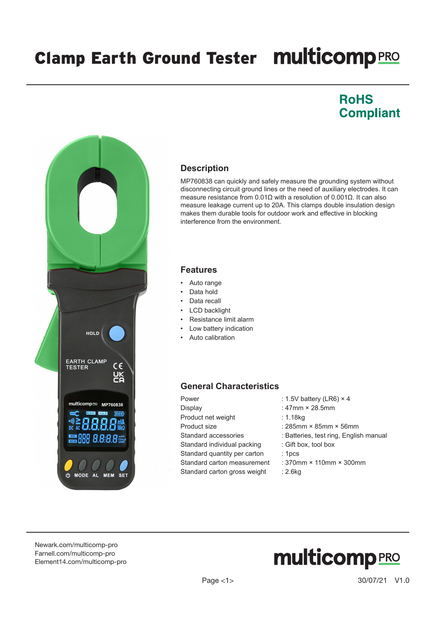# Clamp Earth Ground Tester multicomp PRO

# **RoHS Compliant**



#### **Description**

MP760838 can quickly and safely measure the grounding system without disconnecting circuit ground lines or the need of auxiliary electrodes. It can measure resistance from 0.01Ω with a resolution of 0.001Ω. It can also measure leakage current up to 20A. This clamps double insulation design makes them durable tools for outdoor work and effective in blocking interference from the environment.

#### **Features**

- Auto range
- Data hold
- Data recall
- **LCD** backlight
- Resistance limit alarm
- Low battery indication
- Auto calibration

#### **General Characteristics**

- Power : 1.5V battery (LR6) × 4 Display : 47mm × 28.5mm Product net weight : 1.18kg Product size : 285mm × 85mm × 56mm Standard individual packing : Gift box, tool box Standard quantity per carton : 1 pcs Standard carton measurement : 370mm × 110mm × 300mm Standard carton gross weight : 2.6kg
- -
	-
	-
- Standard accessories : Batteries, test ring, English manual
	-
	-
	-
	-

[Newark.com/multicomp-](https://www.newark.com/multicomp-pro)pro [Farnell.com/multicomp](https://www.farnell.com/multicomp-pro)-pro [Element14.com/multicomp-pro](https://element14.com/multicomp-pro)